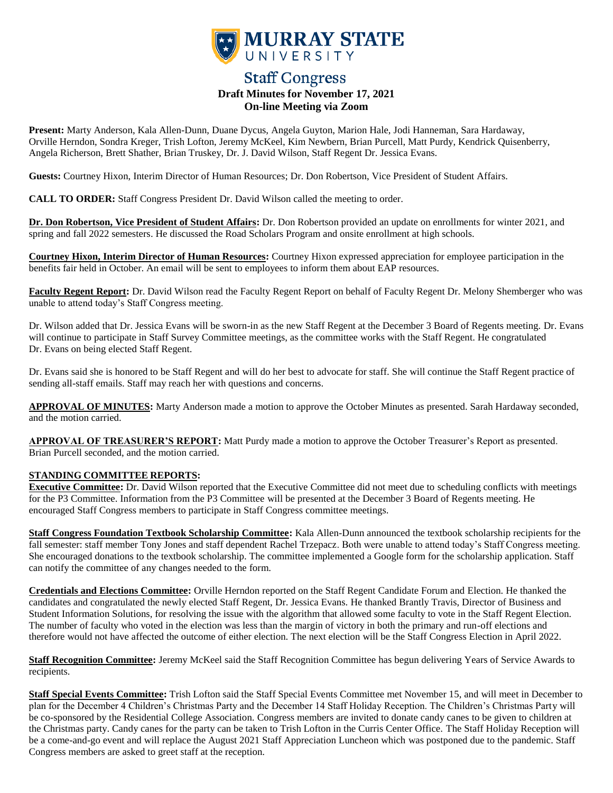

# **Staff Congress Draft Minutes for November 17, 2021 On-line Meeting via Zoom**

**Present:** Marty Anderson, Kala Allen-Dunn, Duane Dycus, Angela Guyton, Marion Hale, Jodi Hanneman, Sara Hardaway, Orville Herndon, Sondra Kreger, Trish Lofton, Jeremy McKeel, Kim Newbern, Brian Purcell, Matt Purdy, Kendrick Quisenberry, Angela Richerson, Brett Shather, Brian Truskey, Dr. J. David Wilson, Staff Regent Dr. Jessica Evans.

**Guests:** Courtney Hixon, Interim Director of Human Resources; Dr. Don Robertson, Vice President of Student Affairs.

**CALL TO ORDER:** Staff Congress President Dr. David Wilson called the meeting to order.

**Dr. Don Robertson, Vice President of Student Affairs:** Dr. Don Robertson provided an update on enrollments for winter 2021, and spring and fall 2022 semesters. He discussed the Road Scholars Program and onsite enrollment at high schools.

**Courtney Hixon, Interim Director of Human Resources:** Courtney Hixon expressed appreciation for employee participation in the benefits fair held in October. An email will be sent to employees to inform them about EAP resources.

**Faculty Regent Report:** Dr. David Wilson read the Faculty Regent Report on behalf of Faculty Regent Dr. Melony Shemberger who was unable to attend today's Staff Congress meeting.

Dr. Wilson added that Dr. Jessica Evans will be sworn-in as the new Staff Regent at the December 3 Board of Regents meeting. Dr. Evans will continue to participate in Staff Survey Committee meetings, as the committee works with the Staff Regent. He congratulated Dr. Evans on being elected Staff Regent.

Dr. Evans said she is honored to be Staff Regent and will do her best to advocate for staff. She will continue the Staff Regent practice of sending all-staff emails. Staff may reach her with questions and concerns.

**APPROVAL OF MINUTES:** Marty Anderson made a motion to approve the October Minutes as presented. Sarah Hardaway seconded, and the motion carried.

**APPROVAL OF TREASURER'S REPORT:** Matt Purdy made a motion to approve the October Treasurer's Report as presented. Brian Purcell seconded, and the motion carried.

## **STANDING COMMITTEE REPORTS:**

**Executive Committee:** Dr. David Wilson reported that the Executive Committee did not meet due to scheduling conflicts with meetings for the P3 Committee. Information from the P3 Committee will be presented at the December 3 Board of Regents meeting. He encouraged Staff Congress members to participate in Staff Congress committee meetings.

**Staff Congress Foundation Textbook Scholarship Committee:** Kala Allen-Dunn announced the textbook scholarship recipients for the fall semester: staff member Tony Jones and staff dependent Rachel Trzepacz. Both were unable to attend today's Staff Congress meeting. She encouraged donations to the textbook scholarship. The committee implemented a Google form for the scholarship application. Staff can notify the committee of any changes needed to the form.

**Credentials and Elections Committee:** Orville Herndon reported on the Staff Regent Candidate Forum and Election. He thanked the candidates and congratulated the newly elected Staff Regent, Dr. Jessica Evans. He thanked Brantly Travis, Director of Business and Student Information Solutions, for resolving the issue with the algorithm that allowed some faculty to vote in the Staff Regent Election. The number of faculty who voted in the election was less than the margin of victory in both the primary and run-off elections and therefore would not have affected the outcome of either election. The next election will be the Staff Congress Election in April 2022.

**Staff Recognition Committee:** Jeremy McKeel said the Staff Recognition Committee has begun delivering Years of Service Awards to recipients.

**Staff Special Events Committee:** Trish Lofton said the Staff Special Events Committee met November 15, and will meet in December to plan for the December 4 Children's Christmas Party and the December 14 Staff Holiday Reception. The Children's Christmas Party will be co-sponsored by the Residential College Association. Congress members are invited to donate candy canes to be given to children at the Christmas party. Candy canes for the party can be taken to Trish Lofton in the Curris Center Office. The Staff Holiday Reception will be a come-and-go event and will replace the August 2021 Staff Appreciation Luncheon which was postponed due to the pandemic. Staff Congress members are asked to greet staff at the reception.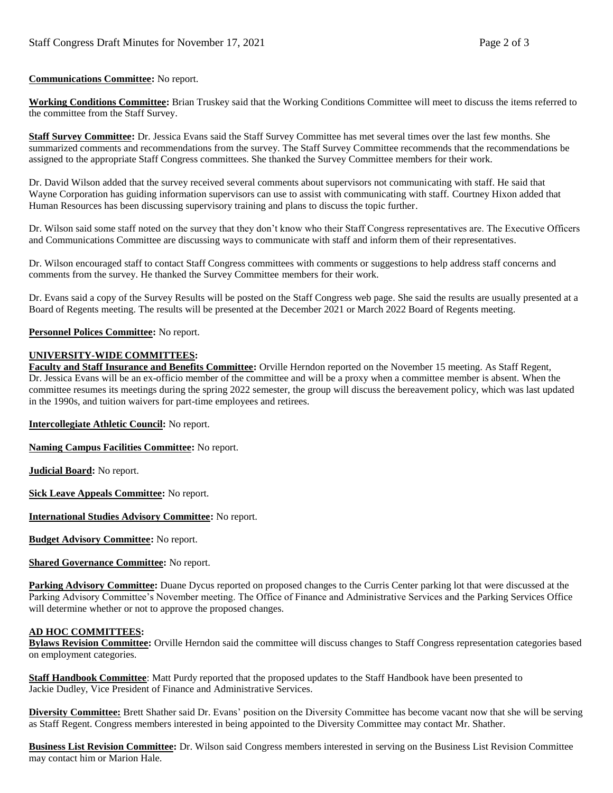### **Communications Committee:** No report.

**Working Conditions Committee:** Brian Truskey said that the Working Conditions Committee will meet to discuss the items referred to the committee from the Staff Survey.

**Staff Survey Committee:** Dr. Jessica Evans said the Staff Survey Committee has met several times over the last few months. She summarized comments and recommendations from the survey. The Staff Survey Committee recommends that the recommendations be assigned to the appropriate Staff Congress committees. She thanked the Survey Committee members for their work.

Dr. David Wilson added that the survey received several comments about supervisors not communicating with staff. He said that Wayne Corporation has guiding information supervisors can use to assist with communicating with staff. Courtney Hixon added that Human Resources has been discussing supervisory training and plans to discuss the topic further.

Dr. Wilson said some staff noted on the survey that they don't know who their Staff Congress representatives are. The Executive Officers and Communications Committee are discussing ways to communicate with staff and inform them of their representatives.

Dr. Wilson encouraged staff to contact Staff Congress committees with comments or suggestions to help address staff concerns and comments from the survey. He thanked the Survey Committee members for their work.

Dr. Evans said a copy of the Survey Results will be posted on the Staff Congress web page. She said the results are usually presented at a Board of Regents meeting. The results will be presented at the December 2021 or March 2022 Board of Regents meeting.

#### **Personnel Polices Committee:** No report.

#### **UNIVERSITY-WIDE COMMITTEES:**

**Faculty and Staff Insurance and Benefits Committee:** Orville Herndon reported on the November 15 meeting. As Staff Regent, Dr. Jessica Evans will be an ex-officio member of the committee and will be a proxy when a committee member is absent. When the committee resumes its meetings during the spring 2022 semester, the group will discuss the bereavement policy, which was last updated in the 1990s, and tuition waivers for part-time employees and retirees.

#### **Intercollegiate Athletic Council:** No report.

**Naming Campus Facilities Committee:** No report.

**Judicial Board:** No report.

**Sick Leave Appeals Committee:** No report.

**International Studies Advisory Committee:** No report.

**Budget Advisory Committee:** No report.

**Shared Governance Committee:** No report.

**Parking Advisory Committee:** Duane Dycus reported on proposed changes to the Curris Center parking lot that were discussed at the Parking Advisory Committee's November meeting. The Office of Finance and Administrative Services and the Parking Services Office will determine whether or not to approve the proposed changes.

#### **AD HOC COMMITTEES:**

**Bylaws Revision Committee:** Orville Herndon said the committee will discuss changes to Staff Congress representation categories based on employment categories.

**Staff Handbook Committee**: Matt Purdy reported that the proposed updates to the Staff Handbook have been presented to Jackie Dudley, Vice President of Finance and Administrative Services.

**Diversity Committee:** Brett Shather said Dr. Evans' position on the Diversity Committee has become vacant now that she will be serving as Staff Regent. Congress members interested in being appointed to the Diversity Committee may contact Mr. Shather.

**Business List Revision Committee:** Dr. Wilson said Congress members interested in serving on the Business List Revision Committee may contact him or Marion Hale.